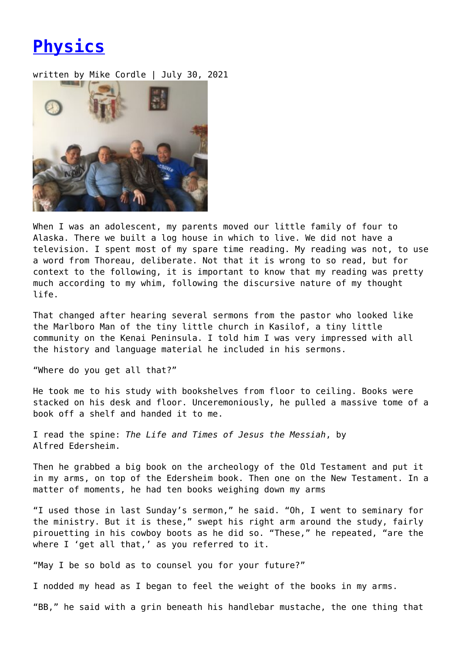## **[Physics](https://entropymag.org/physics/)**

written by Mike Cordle | July 30, 2021



When I was an adolescent, my parents moved our little family of four to Alaska. There we built a log house in which to live. We did not have a television. I spent most of my spare time reading. My reading was not, to use a word from Thoreau, deliberate. Not that it is wrong to so read, but for context to the following, it is important to know that my reading was pretty much according to my whim, following the discursive nature of my thought life.

That changed after hearing several sermons from the pastor who looked like the Marlboro Man of the tiny little church in Kasilof, a tiny little community on the Kenai Peninsula. I told him I was very impressed with all the history and language material he included in his sermons.

"Where do you get all that?"

He took me to his study with bookshelves from floor to ceiling. Books were stacked on his desk and floor. Unceremoniously, he pulled a massive tome of a book off a shelf and handed it to me.

I read the spine: *The Life and Times of Jesus the Messiah*, by Alfred Edersheim.

Then he grabbed a big book on the archeology of the Old Testament and put it in my arms, on top of the Edersheim book. Then one on the New Testament. In a matter of moments, he had ten books weighing down my arms

"I used those in last Sunday's sermon," he said. "Oh, I went to seminary for the ministry. But it is these," swept his right arm around the study, fairly pirouetting in his cowboy boots as he did so. "These," he repeated, "are the where I 'get all that,' as you referred to it.

"May I be so bold as to counsel you for your future?"

I nodded my head as I began to feel the weight of the books in my arms.

"BB," he said with a grin beneath his handlebar mustache, the one thing that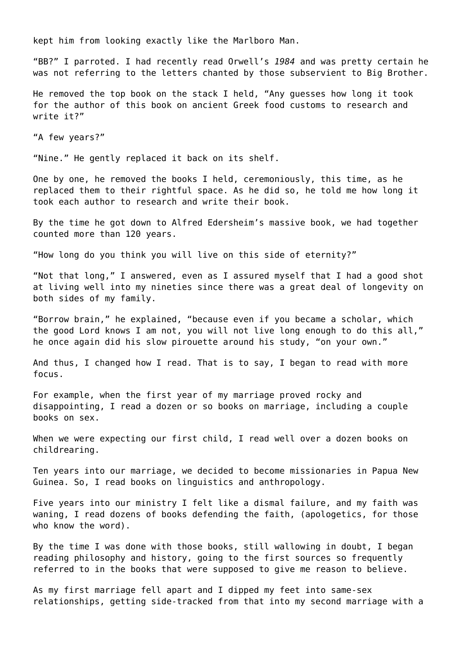kept him from looking exactly like the Marlboro Man.

"BB?" I parroted. I had recently read Orwell's *1984* and was pretty certain he was not referring to the letters chanted by those subservient to Big Brother.

He removed the top book on the stack I held, "Any guesses how long it took for the author of this book on ancient Greek food customs to research and write it?"

"A few years?"

"Nine." He gently replaced it back on its shelf.

One by one, he removed the books I held, ceremoniously, this time, as he replaced them to their rightful space. As he did so, he told me how long it took each author to research and write their book.

By the time he got down to Alfred Edersheim's massive book, we had together counted more than 120 years.

"How long do you think you will live on this side of eternity?"

"Not that long," I answered, even as I assured myself that I had a good shot at living well into my nineties since there was a great deal of longevity on both sides of my family.

"Borrow brain," he explained, "because even if you became a scholar, which the good Lord knows I am not, you will not live long enough to do this all," he once again did his slow pirouette around his study, "on your own."

And thus, I changed how I read. That is to say, I began to read with more focus.

For example, when the first year of my marriage proved rocky and disappointing, I read a dozen or so books on marriage, including a couple books on sex.

When we were expecting our first child, I read well over a dozen books on childrearing.

Ten years into our marriage, we decided to become missionaries in Papua New Guinea. So, I read books on linguistics and anthropology.

Five years into our ministry I felt like a dismal failure, and my faith was waning, I read dozens of books defending the faith, (apologetics, for those who know the word).

By the time I was done with those books, still wallowing in doubt, I began reading philosophy and history, going to the first sources so frequently referred to in the books that were supposed to give me reason to believe.

As my first marriage fell apart and I dipped my feet into same-sex relationships, getting side-tracked from that into my second marriage with a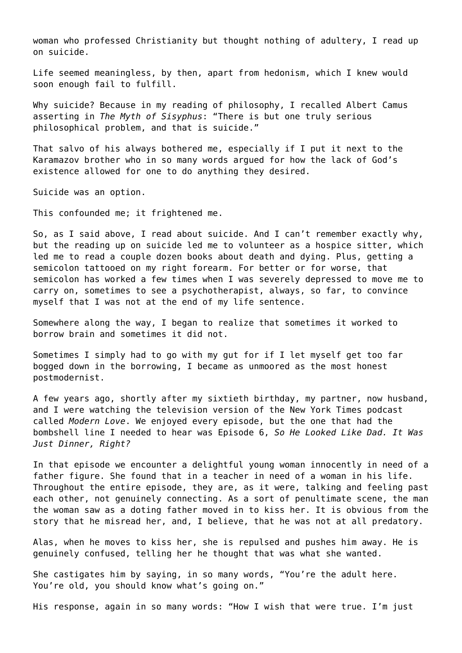woman who professed Christianity but thought nothing of adultery, I read up on suicide.

Life seemed meaningless, by then, apart from hedonism, which I knew would soon enough fail to fulfill.

Why suicide? Because in my reading of philosophy, I recalled Albert Camus asserting in *The Myth of Sisyphus*: "There is but one truly serious philosophical problem, and that is suicide."

That salvo of his always bothered me, especially if I put it next to the Karamazov brother who in so many words argued for how the lack of God's existence allowed for one to do anything they desired.

Suicide was an option.

This confounded me; it frightened me.

So, as I said above, I read about suicide. And I can't remember exactly why, but the reading up on suicide led me to volunteer as a hospice sitter, which led me to read a couple dozen books about death and dying. Plus, getting a semicolon tattooed on my right forearm. For better or for worse, that semicolon has worked a few times when I was severely depressed to move me to carry on, sometimes to see a psychotherapist, always, so far, to convince myself that I was not at the end of my life sentence.

Somewhere along the way, I began to realize that sometimes it worked to borrow brain and sometimes it did not.

Sometimes I simply had to go with my gut for if I let myself get too far bogged down in the borrowing, I became as unmoored as the most honest postmodernist.

A few years ago, shortly after my sixtieth birthday, my partner, now husband, and I were watching the television version of the New York Times podcast called *Modern Love*. We enjoyed every episode, but the one that had the bombshell line I needed to hear was Episode 6, *So He Looked Like Dad. It Was Just Dinner, Right?*

In that episode we encounter a delightful young woman innocently in need of a father figure. She found that in a teacher in need of a woman in his life. Throughout the entire episode, they are, as it were, talking and feeling past each other, not genuinely connecting. As a sort of penultimate scene, the man the woman saw as a doting father moved in to kiss her. It is obvious from the story that he misread her, and, I believe, that he was not at all predatory.

Alas, when he moves to kiss her, she is repulsed and pushes him away. He is genuinely confused, telling her he thought that was what she wanted.

She castigates him by saying, in so many words, "You're the adult here. You're old, you should know what's going on."

His response, again in so many words: "How I wish that were true. I'm just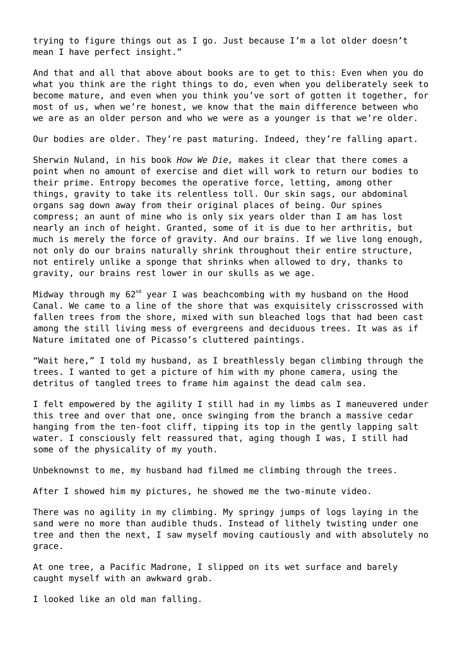trying to figure things out as I go. Just because I'm a lot older doesn't mean I have perfect insight."

And that and all that above about books are to get to this: Even when you do what you think are the right things to do, even when you deliberately seek to become mature, and even when you think you've sort of gotten it together, for most of us, when we're honest, we know that the main difference between who we are as an older person and who we were as a younger is that we're older.

Our bodies are older. They're past maturing. Indeed, they're falling apart.

Sherwin Nuland, in his book *How We Die,* makes it clear that there comes a point when no amount of exercise and diet will work to return our bodies to their prime. Entropy becomes the operative force, letting, among other things, gravity to take its relentless toll. Our skin sags, our abdominal organs sag down away from their original places of being. Our spines compress; an aunt of mine who is only six years older than I am has lost nearly an inch of height. Granted, some of it is due to her arthritis, but much is merely the force of gravity. And our brains. If we live long enough, not only do our brains naturally shrink throughout their entire structure, not entirely unlike a sponge that shrinks when allowed to dry, thanks to gravity, our brains rest lower in our skulls as we age.

Midway through my  $62<sup>nd</sup>$  year I was beachcombing with my husband on the Hood Canal. We came to a line of the shore that was exquisitely crisscrossed with fallen trees from the shore, mixed with sun bleached logs that had been cast among the still living mess of evergreens and deciduous trees. It was as if Nature imitated one of Picasso's cluttered paintings.

"Wait here," I told my husband, as I breathlessly began climbing through the trees. I wanted to get a picture of him with my phone camera, using the detritus of tangled trees to frame him against the dead calm sea.

I felt empowered by the agility I still had in my limbs as I maneuvered under this tree and over that one, once swinging from the branch a massive cedar hanging from the ten-foot cliff, tipping its top in the gently lapping salt water. I consciously felt reassured that, aging though I was, I still had some of the physicality of my youth.

Unbeknownst to me, my husband had filmed me climbing through the trees.

After I showed him my pictures, he showed me the two-minute video.

There was no agility in my climbing. My springy jumps of logs laying in the sand were no more than audible thuds. Instead of lithely twisting under one tree and then the next, I saw myself moving cautiously and with absolutely no grace.

At one tree, a Pacific Madrone, I slipped on its wet surface and barely caught myself with an awkward grab.

I looked like an old man falling.